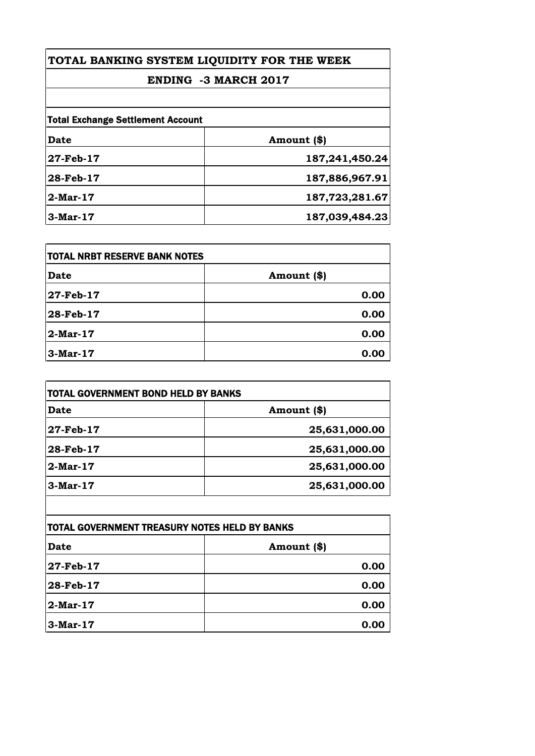# **ENDING -3 MARCH 2017**

| <b>Date</b> | Amount (\$)    |
|-------------|----------------|
| 27-Feb-17   | 187,241,450.24 |
| 28-Feb-17   | 187,886,967.91 |
| $2$ -Mar-17 | 187,723,281.67 |
| $3-Mar-17$  | 187,039,484.23 |

| <b>TOTAL NRBT RESERVE BANK NOTES</b> |             |
|--------------------------------------|-------------|
| Date                                 | Amount (\$) |
| 27-Feb-17                            | 0.00        |
| 28-Feb-17                            | 0.00        |
| 2-Mar-17                             | 0.00        |
| $3-Mar-17$                           | 0.00        |

| TOTAL GOVERNMENT BOND HELD BY BANKS |               |
|-------------------------------------|---------------|
| <b>Date</b>                         | Amount (\$)   |
| 27-Feb-17                           | 25,631,000.00 |
| 28-Feb-17                           | 25,631,000.00 |
| $2-Mar-17$                          | 25,631,000.00 |
| $3-Mar-17$                          | 25,631,000.00 |

| <b>TOTAL GOVERNMENT TREASURY NOTES HELD BY BANKS</b> |             |
|------------------------------------------------------|-------------|
| Date                                                 | Amount (\$) |
| 27-Feb-17                                            | 0.00        |
| 28-Feb-17                                            | 0.00        |
| 2-Mar-17                                             | 0.00        |
| $3-Mar-17$                                           | 0.00        |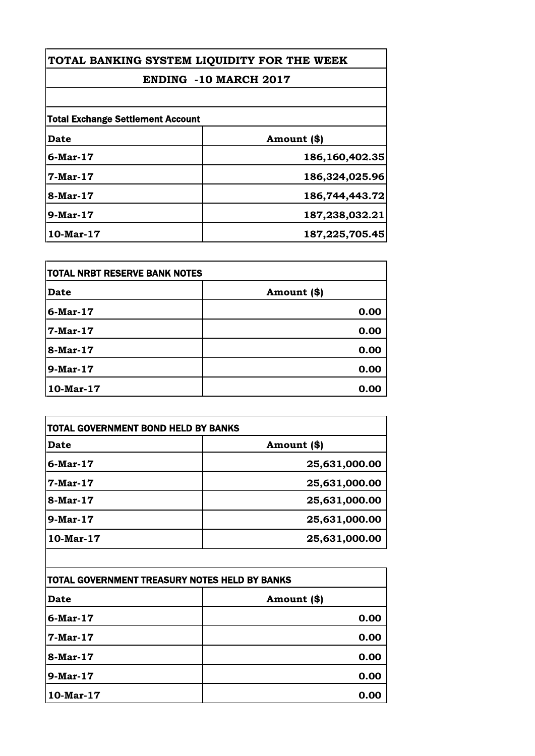# **ENDING -10 MARCH 2017**

| <b>Total Exchange Settlement Account</b> |                |
|------------------------------------------|----------------|
| Date                                     | Amount (\$)    |
| $6$ -Mar-17                              | 186,160,402.35 |
| 7-Mar-17                                 | 186,324,025.96 |
| 8-Mar-17                                 | 186,744,443.72 |
| $9-Mar-17$                               | 187,238,032.21 |
| $10$ -Mar- $17$                          | 187,225,705.45 |

| TOTAL NRBT RESERVE BANK NOTES |             |
|-------------------------------|-------------|
| <b>Date</b>                   | Amount (\$) |
| $6$ -Mar-17                   | 0.00        |
| 7-Mar-17                      | 0.00        |
| 8-Mar-17                      | 0.00        |
| 9-Mar-17                      | 0.00        |
| $10$ -Mar- $17$               | 0.00        |

| Date            | Amount (\$)   |
|-----------------|---------------|
| $6$ -Mar-17     | 25,631,000.00 |
| 7-Mar-17        | 25,631,000.00 |
| 8-Mar-17        | 25,631,000.00 |
| $9-Mar-17$      | 25,631,000.00 |
| $10$ -Mar- $17$ | 25,631,000.00 |
|                 |               |

| TOTAL GOVERNMENT TREASURY NOTES HELD BY BANKS |             |
|-----------------------------------------------|-------------|
| Date                                          | Amount (\$) |
| $6$ -Mar-17                                   | 0.00        |
| 7-Mar-17                                      | 0.00        |
| 8-Mar-17                                      | 0.00        |
| 9-Mar-17                                      | 0.00        |
| 10-Mar-17                                     | 0.00        |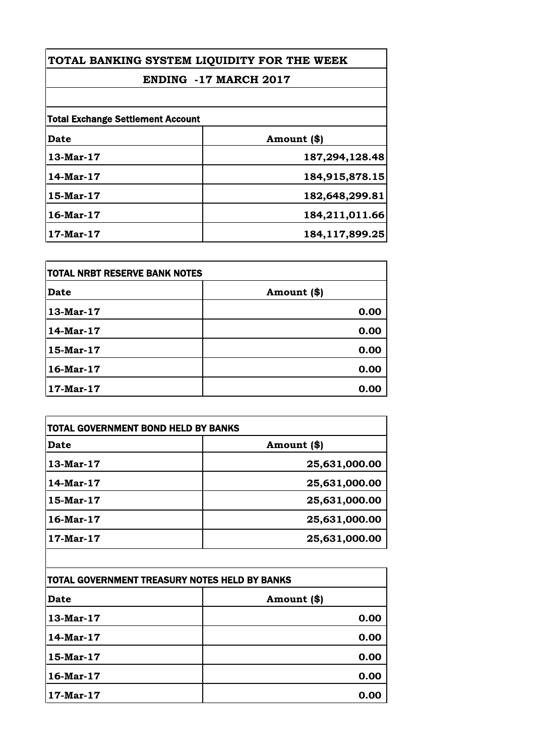# **ENDING -17 MARCH 2017**

| <b>Total Exchange Settlement Account</b> |                |
|------------------------------------------|----------------|
| <b>Date</b>                              | Amount (\$)    |
| 13-Mar-17                                | 187,294,128.48 |
| 14-Mar-17                                | 184,915,878.15 |
| $15$ -Mar- $17$                          | 182,648,299.81 |
| $16$ -Mar- $17$                          | 184,211,011.66 |
| $17-Mar-17$                              | 184,117,899.25 |

| <b>TOTAL NRBT RESERVE BANK NOTES</b> |             |
|--------------------------------------|-------------|
| Date                                 | Amount (\$) |
| 13-Mar-17                            | 0.00        |
| 14-Mar-17                            | 0.00        |
| 15-Mar-17                            | 0.00        |
| 16-Mar-17                            | 0.00        |
| 17-Mar-17                            | 0.00        |

| Date        | Amount (\$)   |
|-------------|---------------|
| $13-Mar-17$ | 25,631,000.00 |
| 14-Mar-17   | 25,631,000.00 |
| 15-Mar-17   | 25,631,000.00 |
| 16-Mar-17   | 25,631,000.00 |
| 17-Mar-17   | 25,631,000.00 |

| TOTAL GOVERNMENT TREASURY NOTES HELD BY BANKS |             |
|-----------------------------------------------|-------------|
| Date                                          | Amount (\$) |
| 13-Mar-17                                     | 0.00        |
| 14-Mar-17                                     | 0.00        |
| 15-Mar-17                                     | 0.00        |
| $16$ -Mar-17                                  | 0.00        |
| 17-Mar-17                                     | 0.00        |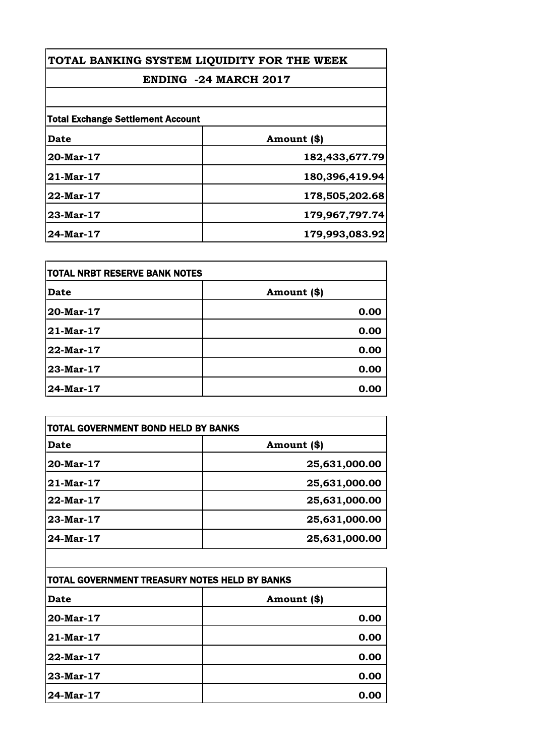#### **ENDING -24 MARCH 2017**

| <b>Total Exchange Settlement Account</b> |                |
|------------------------------------------|----------------|
| <b>Date</b>                              | Amount (\$)    |
| 20-Mar-17                                | 182,433,677.79 |
| 21-Mar-17                                | 180,396,419.94 |
| 22-Mar-17                                | 178,505,202.68 |
| 23-Mar-17                                | 179,967,797.74 |
| 24-Mar-17                                | 179,993,083.92 |

| TOTAL NRBT RESERVE BANK NOTES |             |
|-------------------------------|-------------|
| <b>Date</b>                   | Amount (\$) |
| 20-Mar-17                     | 0.00        |
| 21-Mar-17                     | 0.00        |
| 22-Mar-17                     | 0.00        |
| 23-Mar-17                     | 0.00        |
| 24-Mar-17                     | 0.00        |

| <b>Date</b>  | Amount (\$)   |
|--------------|---------------|
| $20$ -Mar-17 | 25,631,000.00 |
| $21$ -Mar-17 | 25,631,000.00 |
| $22$ -Mar-17 | 25,631,000.00 |
| $23-Mar-17$  | 25,631,000.00 |
| $24$ -Mar-17 | 25,631,000.00 |

| TOTAL GOVERNMENT TREASURY NOTES HELD BY BANKS |             |
|-----------------------------------------------|-------------|
| Date                                          | Amount (\$) |
| 20-Mar-17                                     | 0.00        |
| 21-Mar-17                                     | 0.00        |
| 22-Mar-17                                     | 0.00        |
| 23-Mar-17                                     | 0.00        |
| 24-Mar-17                                     | 0.00        |